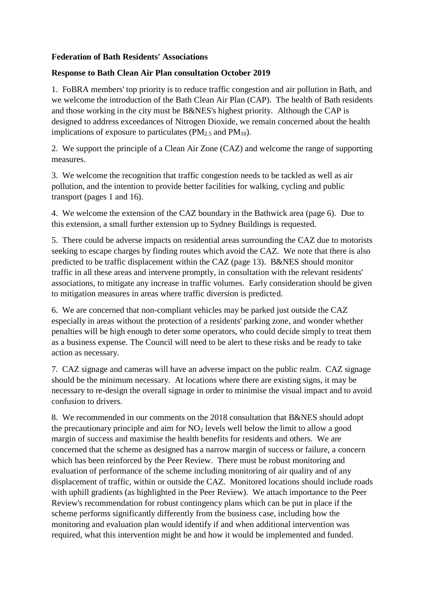## **Federation of Bath Residents' Associations**

## **Response to Bath Clean Air Plan consultation October 2019**

1. FoBRA members' top priority is to reduce traffic congestion and air pollution in Bath, and we welcome the introduction of the Bath Clean Air Plan (CAP). The health of Bath residents and those working in the city must be B&NES's highest priority. Although the CAP is designed to address exceedances of Nitrogen Dioxide, we remain concerned about the health implications of exposure to particulates ( $PM_{2.5}$  and  $PM_{10}$ ).

2. We support the principle of a Clean Air Zone (CAZ) and welcome the range of supporting measures.

3. We welcome the recognition that traffic congestion needs to be tackled as well as air pollution, and the intention to provide better facilities for walking, cycling and public transport (pages 1 and 16).

4. We welcome the extension of the CAZ boundary in the Bathwick area (page 6). Due to this extension, a small further extension up to Sydney Buildings is requested.

5. There could be adverse impacts on residential areas surrounding the CAZ due to motorists seeking to escape charges by finding routes which avoid the CAZ. We note that there is also predicted to be traffic displacement within the CAZ (page 13). B&NES should monitor traffic in all these areas and intervene promptly, in consultation with the relevant residents' associations, to mitigate any increase in traffic volumes. Early consideration should be given to mitigation measures in areas where traffic diversion is predicted.

6. We are concerned that non-compliant vehicles may be parked just outside the CAZ especially in areas without the protection of a residents' parking zone, and wonder whether penalties will be high enough to deter some operators, who could decide simply to treat them as a business expense. The Council will need to be alert to these risks and be ready to take action as necessary.

7. CAZ signage and cameras will have an adverse impact on the public realm. CAZ signage should be the minimum necessary. At locations where there are existing signs, it may be necessary to re-design the overall signage in order to minimise the visual impact and to avoid confusion to drivers.

8. We recommended in our comments on the 2018 consultation that B&NES should adopt the precautionary principle and aim for  $NO<sub>2</sub>$  levels well below the limit to allow a good margin of success and maximise the health benefits for residents and others. We are concerned that the scheme as designed has a narrow margin of success or failure, a concern which has been reinforced by the Peer Review. There must be robust monitoring and evaluation of performance of the scheme including monitoring of air quality and of any displacement of traffic, within or outside the CAZ. Monitored locations should include roads with uphill gradients (as highlighted in the Peer Review). We attach importance to the Peer Review's recommendation for robust contingency plans which can be put in place if the scheme performs significantly differently from the business case, including how the monitoring and evaluation plan would identify if and when additional intervention was required, what this intervention might be and how it would be implemented and funded.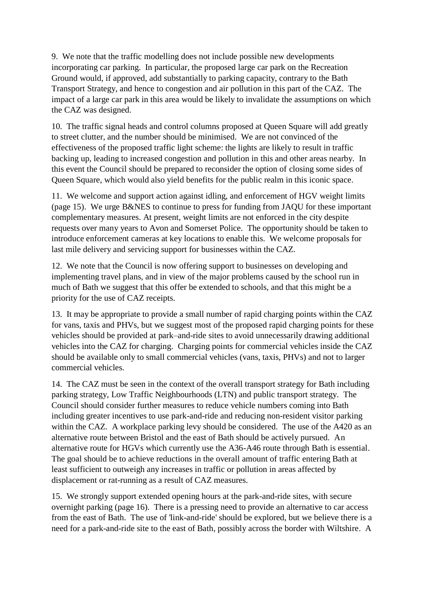9. We note that the traffic modelling does not include possible new developments incorporating car parking. In particular, the proposed large car park on the Recreation Ground would, if approved, add substantially to parking capacity, contrary to the Bath Transport Strategy, and hence to congestion and air pollution in this part of the CAZ. The impact of a large car park in this area would be likely to invalidate the assumptions on which the CAZ was designed.

10. The traffic signal heads and control columns proposed at Queen Square will add greatly to street clutter, and the number should be minimised. We are not convinced of the effectiveness of the proposed traffic light scheme: the lights are likely to result in traffic backing up, leading to increased congestion and pollution in this and other areas nearby. In this event the Council should be prepared to reconsider the option of closing some sides of Queen Square, which would also yield benefits for the public realm in this iconic space.

11. We welcome and support action against idling, and enforcement of HGV weight limits (page 15). We urge B&NES to continue to press for funding from JAQU for these important complementary measures. At present, weight limits are not enforced in the city despite requests over many years to Avon and Somerset Police. The opportunity should be taken to introduce enforcement cameras at key locations to enable this. We welcome proposals for last mile delivery and servicing support for businesses within the CAZ.

12. We note that the Council is now offering support to businesses on developing and implementing travel plans, and in view of the major problems caused by the school run in much of Bath we suggest that this offer be extended to schools, and that this might be a priority for the use of CAZ receipts.

13. It may be appropriate to provide a small number of rapid charging points within the CAZ for vans, taxis and PHVs, but we suggest most of the proposed rapid charging points for these vehicles should be provided at park–and-ride sites to avoid unnecessarily drawing additional vehicles into the CAZ for charging. Charging points for commercial vehicles inside the CAZ should be available only to small commercial vehicles (vans, taxis, PHVs) and not to larger commercial vehicles.

14. The CAZ must be seen in the context of the overall transport strategy for Bath including parking strategy, Low Traffic Neighbourhoods (LTN) and public transport strategy. The Council should consider further measures to reduce vehicle numbers coming into Bath including greater incentives to use park-and-ride and reducing non-resident visitor parking within the CAZ. A workplace parking levy should be considered. The use of the A420 as an alternative route between Bristol and the east of Bath should be actively pursued. An alternative route for HGVs which currently use the A36-A46 route through Bath is essential. The goal should be to achieve reductions in the overall amount of traffic entering Bath at least sufficient to outweigh any increases in traffic or pollution in areas affected by displacement or rat-running as a result of CAZ measures.

15. We strongly support extended opening hours at the park-and-ride sites, with secure overnight parking (page 16). There is a pressing need to provide an alternative to car access from the east of Bath. The use of 'link-and-ride' should be explored, but we believe there is a need for a park-and-ride site to the east of Bath, possibly across the border with Wiltshire. A